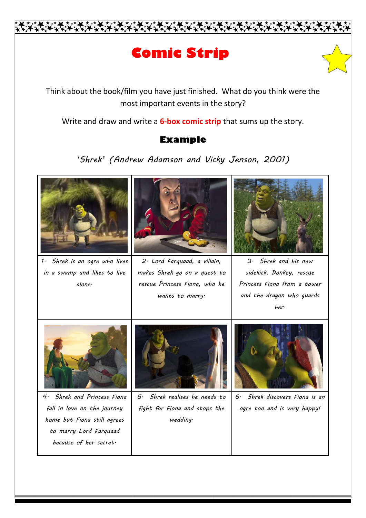## **Comic Strip**

Think about the book/film you have just finished. What do you think were the most important events in the story?

Write and draw and write a **6-box comic strip** that sums up the story.

#### **Example**

*'Shrek' (Andrew Adamson and Vicky Jenson, 2001)*

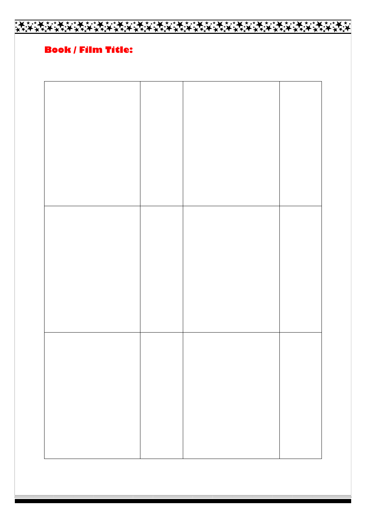### **Book / Film Title:**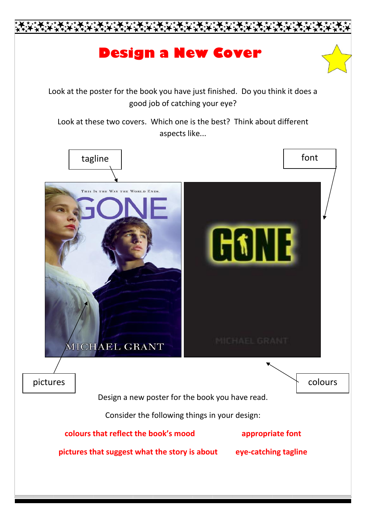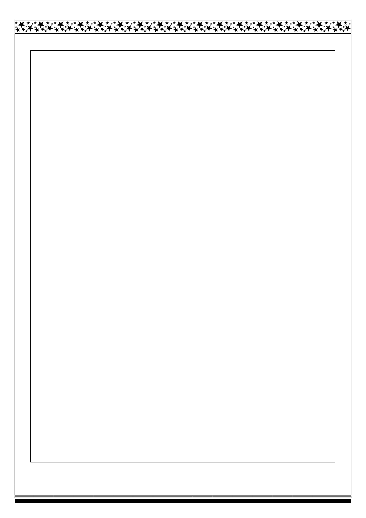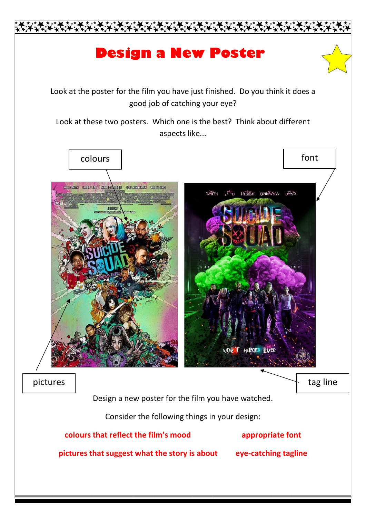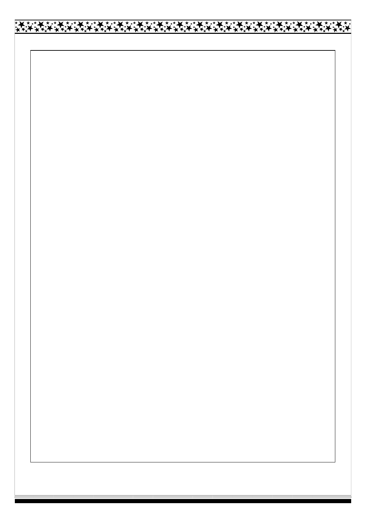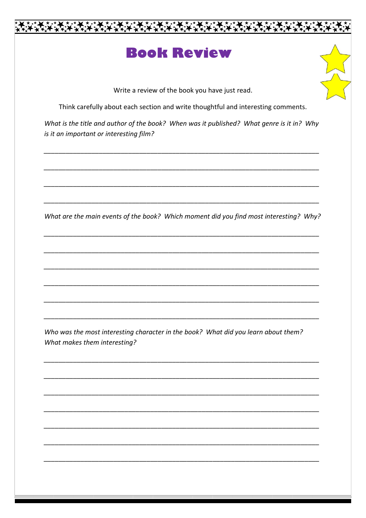### **Book Review**

\*\*\*\*\*\*

⊁`√

どオチど

Write a review of the book you have just read.

Think carefully about each section and write thoughtful and interesting comments.

What is the title and author of the book? When was it published? What genre is it in? Why is it an important or interesting film?

What are the main events of the book? Which moment did you find most interesting? Why?

Who was the most interesting character in the book? What did you learn about them? What makes them interesting?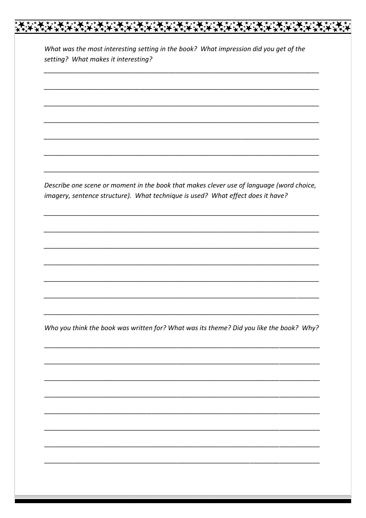| What was the most interesting setting in the book? What impression did you get of the |  |
|---------------------------------------------------------------------------------------|--|
| setting? What makes it interesting?                                                   |  |

Describe one scene or moment in the book that makes clever use of language (word choice, imagery, sentence structure). What technique is used? What effect does it have?

Who you think the book was written for? What was its theme? Did you like the book? Why?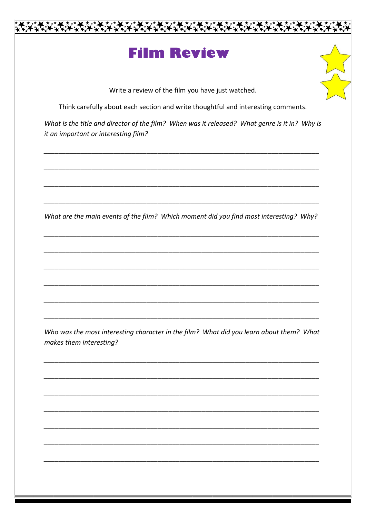### **Film Review**

★∗★★

どオチど

 $\star \cdot \star$ 

Write a review of the film you have just watched.

Think carefully about each section and write thoughtful and interesting comments.

What is the title and director of the film? When was it released? What genre is it in? Why is it an important or interesting film?

What are the main events of the film? Which moment did you find most interesting? Why?

Who was the most interesting character in the film? What did you learn about them? What makes them interesting?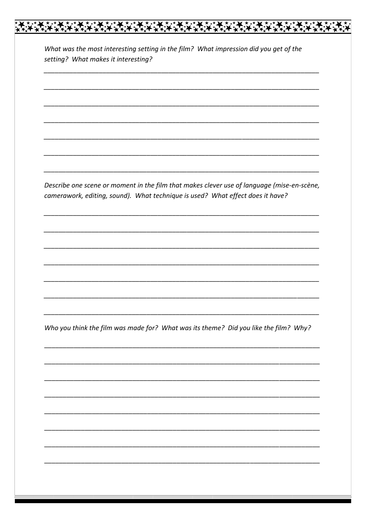| What was the most interesting setting in the film? What impression did you get of the<br>setting? What makes it interesting? |  |  |  |  |
|------------------------------------------------------------------------------------------------------------------------------|--|--|--|--|
|                                                                                                                              |  |  |  |  |
|                                                                                                                              |  |  |  |  |
|                                                                                                                              |  |  |  |  |
|                                                                                                                              |  |  |  |  |
|                                                                                                                              |  |  |  |  |
|                                                                                                                              |  |  |  |  |
|                                                                                                                              |  |  |  |  |
| Describe one scene or moment in the film that makes clever use of language (mise-en-scène,                                   |  |  |  |  |
| camerawork, editing, sound). What technique is used? What effect does it have?                                               |  |  |  |  |
|                                                                                                                              |  |  |  |  |
|                                                                                                                              |  |  |  |  |
|                                                                                                                              |  |  |  |  |
|                                                                                                                              |  |  |  |  |
|                                                                                                                              |  |  |  |  |
|                                                                                                                              |  |  |  |  |
|                                                                                                                              |  |  |  |  |
| Who you think the film was made for? What was its theme? Did you like the film? Why?                                         |  |  |  |  |
|                                                                                                                              |  |  |  |  |
|                                                                                                                              |  |  |  |  |
|                                                                                                                              |  |  |  |  |
|                                                                                                                              |  |  |  |  |
|                                                                                                                              |  |  |  |  |
|                                                                                                                              |  |  |  |  |
|                                                                                                                              |  |  |  |  |
|                                                                                                                              |  |  |  |  |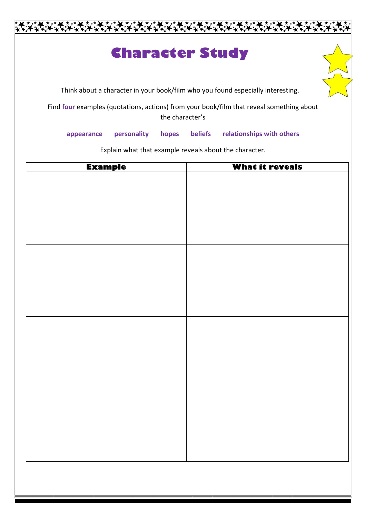### **Character Study**

⊁∡

古夫者古夫者大夫

キュン キュメチュ

ፍ<del>ንኛ</del> ፍጥነት ፍ

⋩⊁⋩

Think about a character in your book/film who you found especially interesting.

Find **four** examples (quotations, actions) from your book/film that reveal something about the character's

**appearance personality hopes beliefs relationships with others**

**Example What it reveals** 

Explain what that example reveals about the character.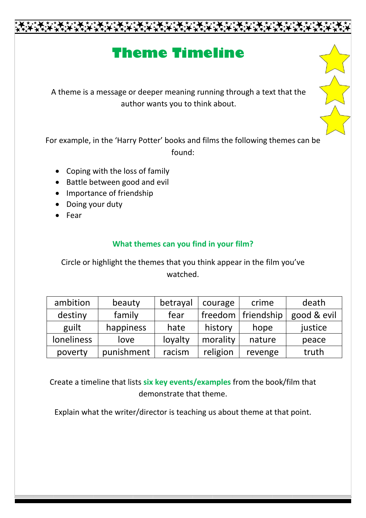## **Theme Timeline**

A theme is a message or deeper meaning running through a text that the author wants you to think about.

For example, in the 'Harry Potter' books and films the following themes can be found:

- Coping with the loss of family
- Battle between good and evil
- Importance of friendship
- Doing your duty
- Fear

#### **What themes can you find in your film?**

Circle or highlight the themes that you think appear in the film you've watched.

| ambition          | beauty     | betrayal | courage  | crime                | death       |
|-------------------|------------|----------|----------|----------------------|-------------|
| destiny           | family     | fear     |          | freedom   friendship | good & evil |
| guilt             | happiness  | hate     | history  | hope                 | justice     |
| <b>loneliness</b> | love       | loyalty  | morality | nature               | peace       |
| poverty           | punishment | racism   | religion | revenge              | truth       |

Create a timeline that lists **six key events/examples** from the book/film that demonstrate that theme.

Explain what the writer/director is teaching us about theme at that point.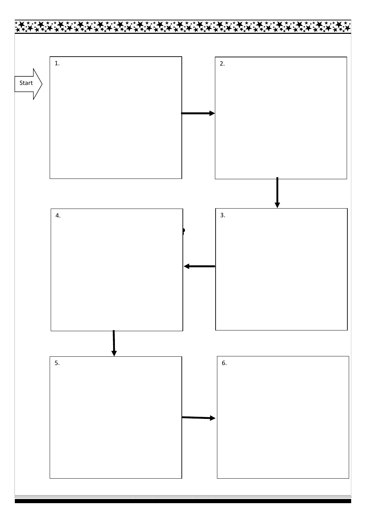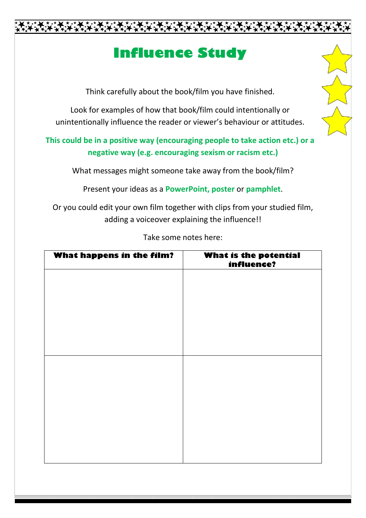## **Influence Study**

Think carefully about the book/film you have finished.

Look for examples of how that book/film could intentionally or unintentionally influence the reader or viewer's behaviour or attitudes.

### **This could be in a positive way (encouraging people to take action etc.) or a negative way (e.g. encouraging sexism or racism etc.)**

What messages might someone take away from the book/film?

Present your ideas as a **PowerPoint, poster** or **pamphlet**.

Or you could edit your own film together with clips from your studied film, adding a voiceover explaining the influence!!

Take some notes here:

| What happens in the film? | What is the potential<br>influence? |
|---------------------------|-------------------------------------|
|                           |                                     |
|                           |                                     |
|                           |                                     |
|                           |                                     |
|                           |                                     |
|                           |                                     |
|                           |                                     |
|                           |                                     |
|                           |                                     |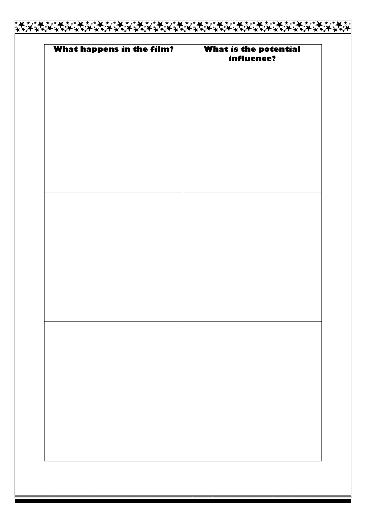| What happens in the film? | What is the potential<br>influence? |  |  |
|---------------------------|-------------------------------------|--|--|
|                           |                                     |  |  |
|                           |                                     |  |  |
|                           |                                     |  |  |
|                           |                                     |  |  |
|                           |                                     |  |  |
|                           |                                     |  |  |
|                           |                                     |  |  |
|                           |                                     |  |  |
|                           |                                     |  |  |
|                           |                                     |  |  |
|                           |                                     |  |  |
|                           |                                     |  |  |
|                           |                                     |  |  |
|                           |                                     |  |  |
|                           |                                     |  |  |
|                           |                                     |  |  |
|                           |                                     |  |  |
|                           |                                     |  |  |
|                           |                                     |  |  |
|                           |                                     |  |  |
|                           |                                     |  |  |
|                           |                                     |  |  |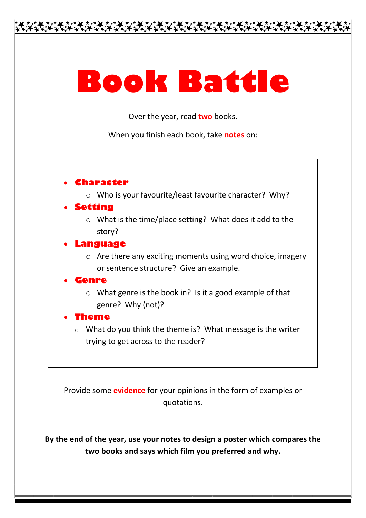## **Book Battle**

Over the year, read **two** books.

When you finish each book, take **notes** on:

![](_page_15_Figure_3.jpeg)

Provide some **evidence** for your opinions in the form of examples or quotations.

**By the end of the year, use your notes to design a poster which compares the two books and says which film you preferred and why.**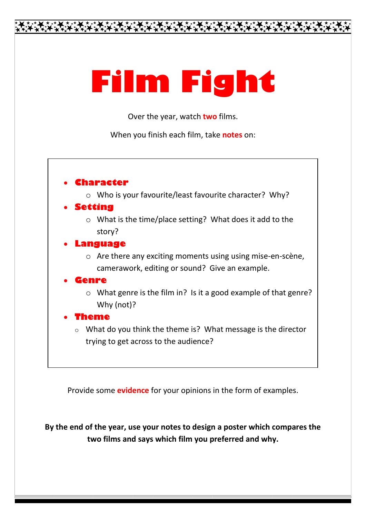# **Film Fight**

Over the year, watch **two** films.

When you finish each film, take **notes** on:

![](_page_16_Figure_3.jpeg)

Provide some **evidence** for your opinions in the form of examples.

**By the end of the year, use your notes to design a poster which compares the two films and says which film you preferred and why.**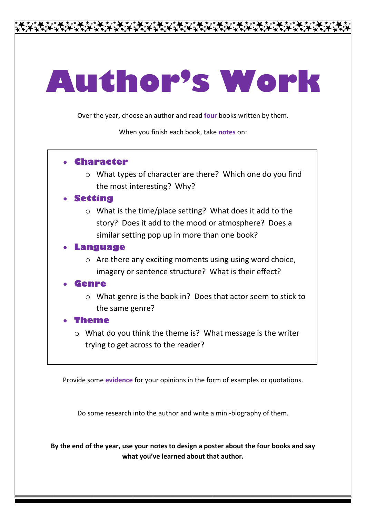# **Author's Work**

Over the year, choose an author and read **four** books written by them.

When you finish each book, take **notes** on:

![](_page_17_Figure_3.jpeg)

Provide some **evidence** for your opinions in the form of examples or quotations.

Do some research into the author and write a mini-biography of them.

**By the end of the year, use your notes to design a poster about the four books and say what you've learned about that author.**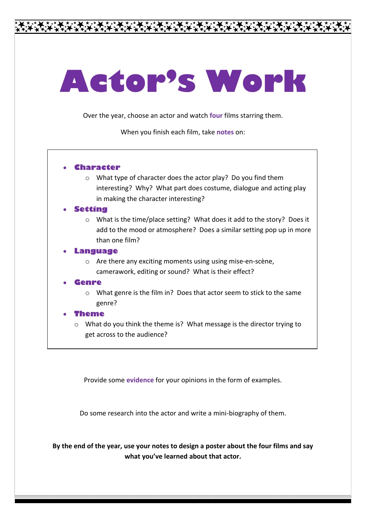## **Actor's Work**

Over the year, choose an actor and watch **four** films starring them.

When you finish each film, take **notes** on:

![](_page_18_Figure_3.jpeg)

Provide some **evidence** for your opinions in the form of examples.

Do some research into the actor and write a mini-biography of them.

**By the end of the year, use your notes to design a poster about the four films and say what you've learned about that actor.**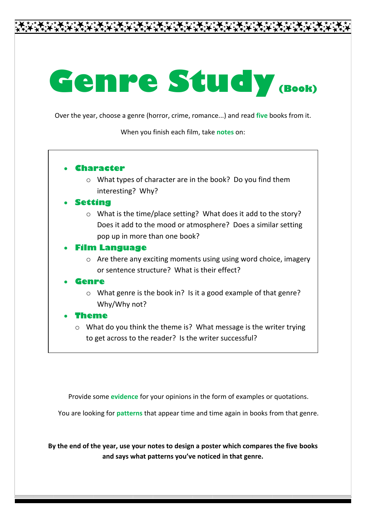# **Genre Study(Book)**

Over the year, choose a genre (horror, crime, romance...) and read **five** books from it.

When you finish each film, take **notes** on:

![](_page_19_Figure_3.jpeg)

Provide some **evidence** for your opinions in the form of examples or quotations.

You are looking for **patterns** that appear time and time again in books from that genre.

**By the end of the year, use your notes to design a poster which compares the five books and says what patterns you've noticed in that genre.**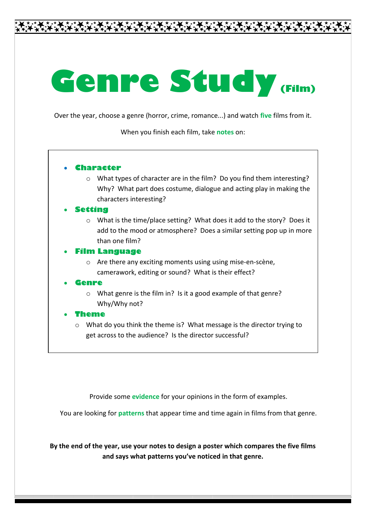## **Genre Study(Film)**

Over the year, choose a genre (horror, crime, romance...) and watch **five** films from it.

When you finish each film, take **notes** on:

![](_page_20_Figure_3.jpeg)

Provide some **evidence** for your opinions in the form of examples.

You are looking for **patterns** that appear time and time again in films from that genre.

**By the end of the year, use your notes to design a poster which compares the five films and says what patterns you've noticed in that genre.**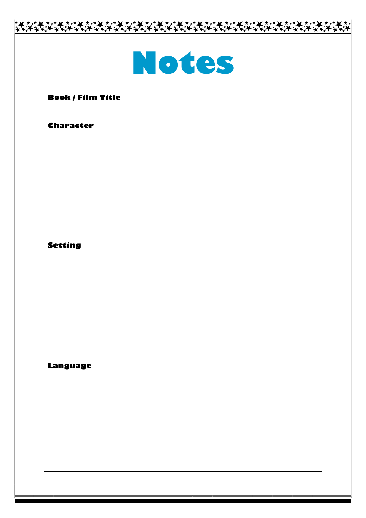![](_page_21_Picture_0.jpeg)

#### **Book / Film Title**

#### **Character**

**Setting**

**Language**